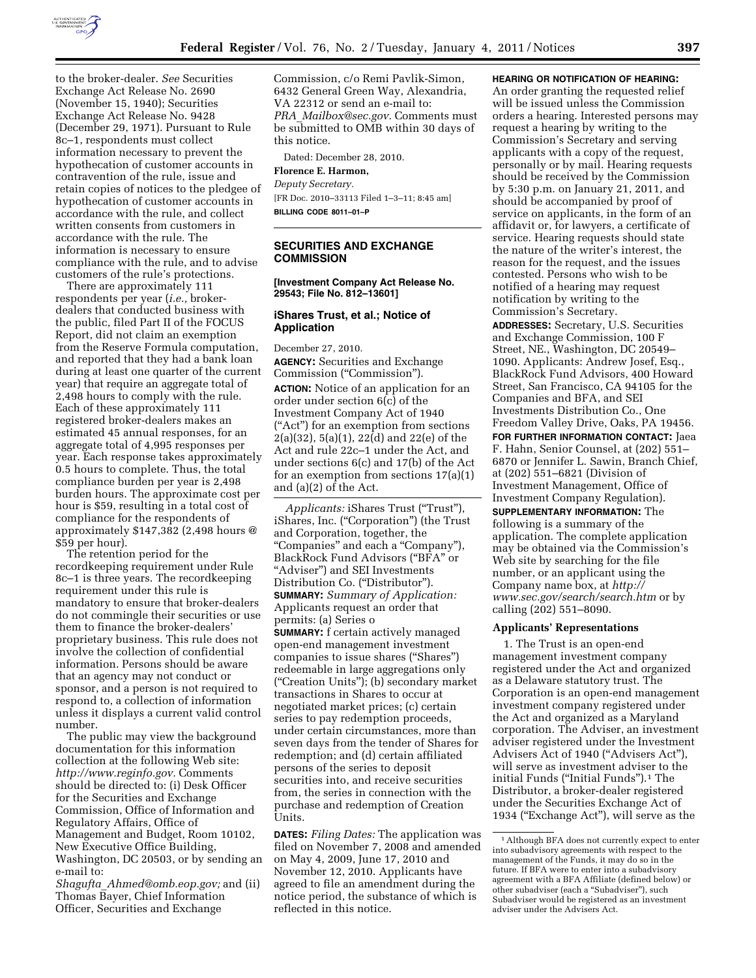

to the broker-dealer. *See* Securities Exchange Act Release No. 2690 (November 15, 1940); Securities Exchange Act Release No. 9428 (December 29, 1971). Pursuant to Rule 8c–1, respondents must collect information necessary to prevent the hypothecation of customer accounts in contravention of the rule, issue and retain copies of notices to the pledgee of hypothecation of customer accounts in accordance with the rule, and collect written consents from customers in accordance with the rule. The information is necessary to ensure compliance with the rule, and to advise customers of the rule's protections.

There are approximately 111 respondents per year (*i.e.,* brokerdealers that conducted business with the public, filed Part II of the FOCUS Report, did not claim an exemption from the Reserve Formula computation, and reported that they had a bank loan during at least one quarter of the current year) that require an aggregate total of 2,498 hours to comply with the rule. Each of these approximately 111 registered broker-dealers makes an estimated 45 annual responses, for an aggregate total of 4,995 responses per year. Each response takes approximately 0.5 hours to complete. Thus, the total compliance burden per year is 2,498 burden hours. The approximate cost per hour is \$59, resulting in a total cost of compliance for the respondents of approximately \$147,382 (2,498 hours @ \$59 per hour).

The retention period for the recordkeeping requirement under Rule 8c–1 is three years. The recordkeeping requirement under this rule is mandatory to ensure that broker-dealers do not commingle their securities or use them to finance the broker-dealers' proprietary business. This rule does not involve the collection of confidential information. Persons should be aware that an agency may not conduct or sponsor, and a person is not required to respond to, a collection of information unless it displays a current valid control number.

The public may view the background documentation for this information collection at the following Web site: *[http://www.reginfo.gov.](http://www.reginfo.gov)* Comments should be directed to: (i) Desk Officer for the Securities and Exchange Commission, Office of Information and Regulatory Affairs, Office of Management and Budget, Room 10102, New Executive Office Building, Washington, DC 20503, or by sending an e-mail to:

*Shagufta*\_*[Ahmed@omb.eop.gov;](mailto:Shagufta_Ahmed@omb.eop.gov)* and (ii) Thomas Bayer, Chief Information Officer, Securities and Exchange

Commission, c/o Remi Pavlik-Simon, 6432 General Green Way, Alexandria, VA 22312 or send an e-mail to: *PRA*\_*[Mailbox@sec.gov.](mailto:PRA_Mailbox@sec.gov)* Comments must be submitted to OMB within 30 days of this notice.

Dated: December 28, 2010.

## **Florence E. Harmon,**

*Deputy Secretary.*  [FR Doc. 2010–33113 Filed 1–3–11; 8:45 am] **BILLING CODE 8011–01–P** 

## **SECURITIES AND EXCHANGE COMMISSION**

### **[Investment Company Act Release No. 29543; File No. 812–13601]**

### **iShares Trust, et al.; Notice of Application**

December 27, 2010.

**AGENCY:** Securities and Exchange Commission (''Commission'').

**ACTION:** Notice of an application for an order under section 6(c) of the Investment Company Act of 1940 (''Act'') for an exemption from sections 2(a)(32), 5(a)(1), 22(d) and 22(e) of the Act and rule 22c–1 under the Act, and under sections 6(c) and 17(b) of the Act for an exemption from sections 17(a)(1) and (a)(2) of the Act.

*Applicants:* iShares Trust (''Trust''), iShares, Inc. (''Corporation'') (the Trust and Corporation, together, the ''Companies'' and each a ''Company''), BlackRock Fund Advisors (''BFA'' or ''Adviser'') and SEI Investments Distribution Co. ("Distributor"). **SUMMARY:** *Summary of Application:*  Applicants request an order that permits: (a) Series o **SUMMARY:** f certain actively managed open-end management investment companies to issue shares (''Shares'') redeemable in large aggregations only (''Creation Units''); (b) secondary market transactions in Shares to occur at negotiated market prices; (c) certain series to pay redemption proceeds, under certain circumstances, more than seven days from the tender of Shares for redemption; and (d) certain affiliated persons of the series to deposit securities into, and receive securities from, the series in connection with the purchase and redemption of Creation Units.

**DATES:** *Filing Dates:* The application was filed on November 7, 2008 and amended on May 4, 2009, June 17, 2010 and November 12, 2010. Applicants have agreed to file an amendment during the notice period, the substance of which is reflected in this notice.

#### **HEARING OR NOTIFICATION OF HEARING:**

An order granting the requested relief will be issued unless the Commission orders a hearing. Interested persons may request a hearing by writing to the Commission's Secretary and serving applicants with a copy of the request, personally or by mail. Hearing requests should be received by the Commission by 5:30 p.m. on January 21, 2011, and should be accompanied by proof of service on applicants, in the form of an affidavit or, for lawyers, a certificate of service. Hearing requests should state the nature of the writer's interest, the reason for the request, and the issues contested. Persons who wish to be notified of a hearing may request notification by writing to the Commission's Secretary.

**ADDRESSES:** Secretary, U.S. Securities and Exchange Commission, 100 F Street, NE., Washington, DC 20549– 1090. Applicants: Andrew Josef, Esq., BlackRock Fund Advisors, 400 Howard Street, San Francisco, CA 94105 for the Companies and BFA, and SEI Investments Distribution Co., One Freedom Valley Drive, Oaks, PA 19456.

**FOR FURTHER INFORMATION CONTACT:** Jaea F. Hahn, Senior Counsel, at (202) 551– 6870 or Jennifer L. Sawin, Branch Chief, at (202) 551–6821 (Division of Investment Management, Office of Investment Company Regulation).

**SUPPLEMENTARY INFORMATION:** The following is a summary of the application. The complete application may be obtained via the Commission's Web site by searching for the file number, or an applicant using the Company name box, at *[http://](http://www.sec.gov/search/search.htm) [www.sec.gov/search/search.htm](http://www.sec.gov/search/search.htm)* or by calling (202) 551–8090.

#### **Applicants' Representations**

1. The Trust is an open-end management investment company registered under the Act and organized as a Delaware statutory trust. The Corporation is an open-end management investment company registered under the Act and organized as a Maryland corporation. The Adviser, an investment adviser registered under the Investment Advisers Act of 1940 (''Advisers Act''), will serve as investment adviser to the initial Funds (''Initial Funds'').1 The Distributor, a broker-dealer registered under the Securities Exchange Act of 1934 (''Exchange Act''), will serve as the

<sup>1</sup>Although BFA does not currently expect to enter into subadvisory agreements with respect to the management of the Funds, it may do so in the future. If BFA were to enter into a subadvisory agreement with a BFA Affiliate (defined below) or other subadviser (each a ''Subadviser''), such Subadviser would be registered as an investment adviser under the Advisers Act.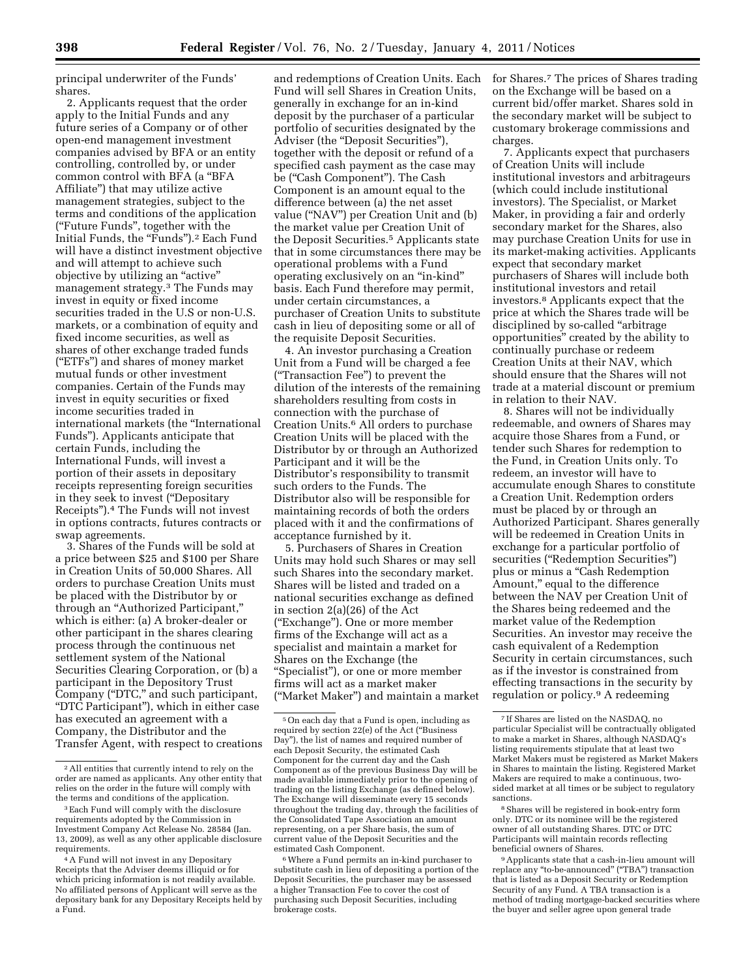principal underwriter of the Funds' shares.

2. Applicants request that the order apply to the Initial Funds and any future series of a Company or of other open-end management investment companies advised by BFA or an entity controlling, controlled by, or under common control with BFA (a ''BFA Affiliate'') that may utilize active management strategies, subject to the terms and conditions of the application (''Future Funds'', together with the Initial Funds, the "Funds").<sup>2</sup> Each Fund will have a distinct investment objective and will attempt to achieve such objective by utilizing an ''active'' management strategy.3 The Funds may invest in equity or fixed income securities traded in the U.S or non-U.S. markets, or a combination of equity and fixed income securities, as well as shares of other exchange traded funds (''ETFs'') and shares of money market mutual funds or other investment companies. Certain of the Funds may invest in equity securities or fixed income securities traded in international markets (the ''International Funds''). Applicants anticipate that certain Funds, including the International Funds, will invest a portion of their assets in depositary receipts representing foreign securities in they seek to invest (''Depositary Receipts'').4 The Funds will not invest in options contracts, futures contracts or swap agreements.

3. Shares of the Funds will be sold at a price between \$25 and \$100 per Share in Creation Units of 50,000 Shares. All orders to purchase Creation Units must be placed with the Distributor by or through an ''Authorized Participant,'' which is either: (a) A broker-dealer or other participant in the shares clearing process through the continuous net settlement system of the National Securities Clearing Corporation, or (b) a participant in the Depository Trust Company (''DTC,'' and such participant, ''DTC Participant''), which in either case has executed an agreement with a Company, the Distributor and the Transfer Agent, with respect to creations

and redemptions of Creation Units. Each Fund will sell Shares in Creation Units, generally in exchange for an in-kind deposit by the purchaser of a particular portfolio of securities designated by the Adviser (the "Deposit Securities"), together with the deposit or refund of a specified cash payment as the case may be (''Cash Component''). The Cash Component is an amount equal to the difference between (a) the net asset value (''NAV'') per Creation Unit and (b) the market value per Creation Unit of the Deposit Securities.5 Applicants state that in some circumstances there may be operational problems with a Fund operating exclusively on an ''in-kind'' basis. Each Fund therefore may permit, under certain circumstances, a purchaser of Creation Units to substitute cash in lieu of depositing some or all of the requisite Deposit Securities.

4. An investor purchasing a Creation Unit from a Fund will be charged a fee (''Transaction Fee'') to prevent the dilution of the interests of the remaining shareholders resulting from costs in connection with the purchase of Creation Units.6 All orders to purchase Creation Units will be placed with the Distributor by or through an Authorized Participant and it will be the Distributor's responsibility to transmit such orders to the Funds. The Distributor also will be responsible for maintaining records of both the orders placed with it and the confirmations of acceptance furnished by it.

5. Purchasers of Shares in Creation Units may hold such Shares or may sell such Shares into the secondary market. Shares will be listed and traded on a national securities exchange as defined in section 2(a)(26) of the Act (''Exchange''). One or more member firms of the Exchange will act as a specialist and maintain a market for Shares on the Exchange (the ''Specialist''), or one or more member firms will act as a market maker (''Market Maker'') and maintain a market

6Where a Fund permits an in-kind purchaser to substitute cash in lieu of depositing a portion of the Deposit Securities, the purchaser may be assessed a higher Transaction Fee to cover the cost of purchasing such Deposit Securities, including brokerage costs.

for Shares.7 The prices of Shares trading on the Exchange will be based on a current bid/offer market. Shares sold in the secondary market will be subject to customary brokerage commissions and charges.

7. Applicants expect that purchasers of Creation Units will include institutional investors and arbitrageurs (which could include institutional investors). The Specialist, or Market Maker, in providing a fair and orderly secondary market for the Shares, also may purchase Creation Units for use in its market-making activities. Applicants expect that secondary market purchasers of Shares will include both institutional investors and retail investors.8 Applicants expect that the price at which the Shares trade will be disciplined by so-called ''arbitrage opportunities'' created by the ability to continually purchase or redeem Creation Units at their NAV, which should ensure that the Shares will not trade at a material discount or premium in relation to their NAV.

8. Shares will not be individually redeemable, and owners of Shares may acquire those Shares from a Fund, or tender such Shares for redemption to the Fund, in Creation Units only. To redeem, an investor will have to accumulate enough Shares to constitute a Creation Unit. Redemption orders must be placed by or through an Authorized Participant. Shares generally will be redeemed in Creation Units in exchange for a particular portfolio of securities (''Redemption Securities'') plus or minus a ''Cash Redemption Amount," equal to the difference between the NAV per Creation Unit of the Shares being redeemed and the market value of the Redemption Securities. An investor may receive the cash equivalent of a Redemption Security in certain circumstances, such as if the investor is constrained from effecting transactions in the security by regulation or policy.9 A redeeming

8Shares will be registered in book-entry form only. DTC or its nominee will be the registered owner of all outstanding Shares. DTC or DTC Participants will maintain records reflecting beneficial owners of Shares.

9Applicants state that a cash-in-lieu amount will replace any ''to-be-announced'' (''TBA'') transaction that is listed as a Deposit Security or Redemption Security of any Fund. A TBA transaction is a method of trading mortgage-backed securities where the buyer and seller agree upon general trade

<sup>2</sup>All entities that currently intend to rely on the order are named as applicants. Any other entity that relies on the order in the future will comply with the terms and conditions of the application.

<sup>3</sup>Each Fund will comply with the disclosure requirements adopted by the Commission in Investment Company Act Release No. 28584 (Jan. 13, 2009), as well as any other applicable disclosure requirements.

<sup>4</sup>A Fund will not invest in any Depositary Receipts that the Adviser deems illiquid or for which pricing information is not readily available. No affiliated persons of Applicant will serve as the depositary bank for any Depositary Receipts held by a Fund.

<sup>5</sup>On each day that a Fund is open, including as required by section 22(e) of the Act (''Business Day''), the list of names and required number of each Deposit Security, the estimated Cash Component for the current day and the Cash Component as of the previous Business Day will be made available immediately prior to the opening of trading on the listing Exchange (as defined below). The Exchange will disseminate every 15 seconds throughout the trading day, through the facilities of the Consolidated Tape Association an amount representing, on a per Share basis, the sum of current value of the Deposit Securities and the estimated Cash Component.

<sup>7</sup> If Shares are listed on the NASDAQ, no particular Specialist will be contractually obligated to make a market in Shares, although NASDAQ's listing requirements stipulate that at least two Market Makers must be registered as Market Makers in Shares to maintain the listing. Registered Market Makers are required to make a continuous, twosided market at all times or be subject to regulatory sanctions.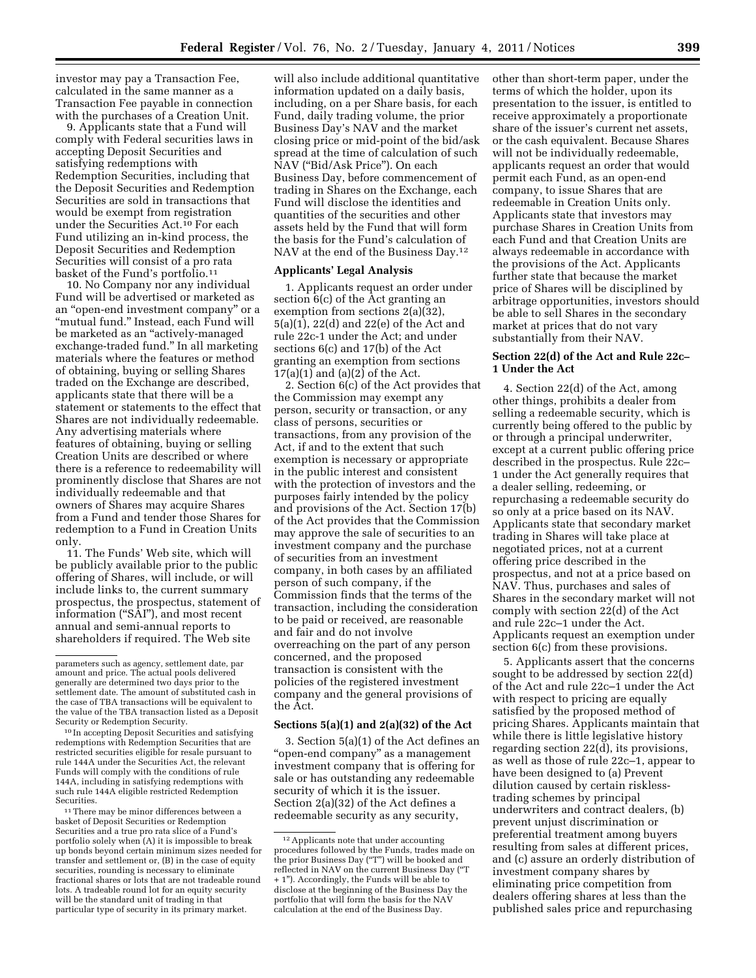investor may pay a Transaction Fee, calculated in the same manner as a Transaction Fee payable in connection with the purchases of a Creation Unit.

9. Applicants state that a Fund will comply with Federal securities laws in accepting Deposit Securities and satisfying redemptions with Redemption Securities, including that the Deposit Securities and Redemption Securities are sold in transactions that would be exempt from registration under the Securities Act.10 For each Fund utilizing an in-kind process, the Deposit Securities and Redemption Securities will consist of a pro rata basket of the Fund's portfolio.11

10. No Company nor any individual Fund will be advertised or marketed as an ''open-end investment company'' or a ''mutual fund.'' Instead, each Fund will be marketed as an ''actively-managed exchange-traded fund.'' In all marketing materials where the features or method of obtaining, buying or selling Shares traded on the Exchange are described, applicants state that there will be a statement or statements to the effect that Shares are not individually redeemable. Any advertising materials where features of obtaining, buying or selling Creation Units are described or where there is a reference to redeemability will prominently disclose that Shares are not individually redeemable and that owners of Shares may acquire Shares from a Fund and tender those Shares for redemption to a Fund in Creation Units only.

11. The Funds' Web site, which will be publicly available prior to the public offering of Shares, will include, or will include links to, the current summary prospectus, the prospectus, statement of information (''SAI''), and most recent annual and semi-annual reports to shareholders if required. The Web site

<sup>11</sup> There may be minor differences between a basket of Deposit Securities or Redemption Securities and a true pro rata slice of a Fund's portfolio solely when (A) it is impossible to break up bonds beyond certain minimum sizes needed for transfer and settlement or, (B) in the case of equity securities, rounding is necessary to eliminate fractional shares or lots that are not tradeable round lots. A tradeable round lot for an equity security will be the standard unit of trading in that particular type of security in its primary market.

will also include additional quantitative information updated on a daily basis, including, on a per Share basis, for each Fund, daily trading volume, the prior Business Day's NAV and the market closing price or mid-point of the bid/ask spread at the time of calculation of such NAV (''Bid/Ask Price''). On each Business Day, before commencement of trading in Shares on the Exchange, each Fund will disclose the identities and quantities of the securities and other assets held by the Fund that will form the basis for the Fund's calculation of NAV at the end of the Business Day.12

### **Applicants' Legal Analysis**

1. Applicants request an order under section 6(c) of the Act granting an exemption from sections 2(a)(32), 5(a)(1), 22(d) and 22(e) of the Act and rule 22c-1 under the Act; and under sections 6(c) and 17(b) of the Act granting an exemption from sections  $17(a)(1)$  and  $(a)(2)$  of the Act.

2. Section 6(c) of the Act provides that the Commission may exempt any person, security or transaction, or any class of persons, securities or transactions, from any provision of the Act, if and to the extent that such exemption is necessary or appropriate in the public interest and consistent with the protection of investors and the purposes fairly intended by the policy and provisions of the Act. Section 17(b) of the Act provides that the Commission may approve the sale of securities to an investment company and the purchase of securities from an investment company, in both cases by an affiliated person of such company, if the Commission finds that the terms of the transaction, including the consideration to be paid or received, are reasonable and fair and do not involve overreaching on the part of any person concerned, and the proposed transaction is consistent with the policies of the registered investment company and the general provisions of the Act.

# **Sections 5(a)(1) and 2(a)(32) of the Act**

3. Section 5(a)(1) of the Act defines an "open-end company" as a management investment company that is offering for sale or has outstanding any redeemable security of which it is the issuer. Section 2(a)(32) of the Act defines a redeemable security as any security,

other than short-term paper, under the terms of which the holder, upon its presentation to the issuer, is entitled to receive approximately a proportionate share of the issuer's current net assets, or the cash equivalent. Because Shares will not be individually redeemable, applicants request an order that would permit each Fund, as an open-end company, to issue Shares that are redeemable in Creation Units only. Applicants state that investors may purchase Shares in Creation Units from each Fund and that Creation Units are always redeemable in accordance with the provisions of the Act. Applicants further state that because the market price of Shares will be disciplined by arbitrage opportunities, investors should be able to sell Shares in the secondary market at prices that do not vary substantially from their NAV.

## **Section 22(d) of the Act and Rule 22c– 1 Under the Act**

4. Section 22(d) of the Act, among other things, prohibits a dealer from selling a redeemable security, which is currently being offered to the public by or through a principal underwriter, except at a current public offering price described in the prospectus. Rule 22c– 1 under the Act generally requires that a dealer selling, redeeming, or repurchasing a redeemable security do so only at a price based on its NAV. Applicants state that secondary market trading in Shares will take place at negotiated prices, not at a current offering price described in the prospectus, and not at a price based on NAV. Thus, purchases and sales of Shares in the secondary market will not comply with section 22(d) of the Act and rule 22c–1 under the Act. Applicants request an exemption under section 6(c) from these provisions.

5. Applicants assert that the concerns sought to be addressed by section 22(d) of the Act and rule 22c–1 under the Act with respect to pricing are equally satisfied by the proposed method of pricing Shares. Applicants maintain that while there is little legislative history regarding section 22(d), its provisions, as well as those of rule 22c–1, appear to have been designed to (a) Prevent dilution caused by certain risklesstrading schemes by principal underwriters and contract dealers, (b) prevent unjust discrimination or preferential treatment among buyers resulting from sales at different prices, and (c) assure an orderly distribution of investment company shares by eliminating price competition from dealers offering shares at less than the published sales price and repurchasing

parameters such as agency, settlement date, par amount and price. The actual pools delivered generally are determined two days prior to the settlement date. The amount of substituted cash in the case of TBA transactions will be equivalent to the value of the TBA transaction listed as a Deposit Security or Redemption Security.

<sup>10</sup> In accepting Deposit Securities and satisfying redemptions with Redemption Securities that are restricted securities eligible for resale pursuant to rule 144A under the Securities Act, the relevant Funds will comply with the conditions of rule 144A, including in satisfying redemptions with such rule 144A eligible restricted Redemption Securities.

<sup>12</sup>Applicants note that under accounting procedures followed by the Funds, trades made on the prior Business Day ("T") will be booked and reflected in NAV on the current Business Day (''T + 1''). Accordingly, the Funds will be able to disclose at the beginning of the Business Day the portfolio that will form the basis for the NAV calculation at the end of the Business Day.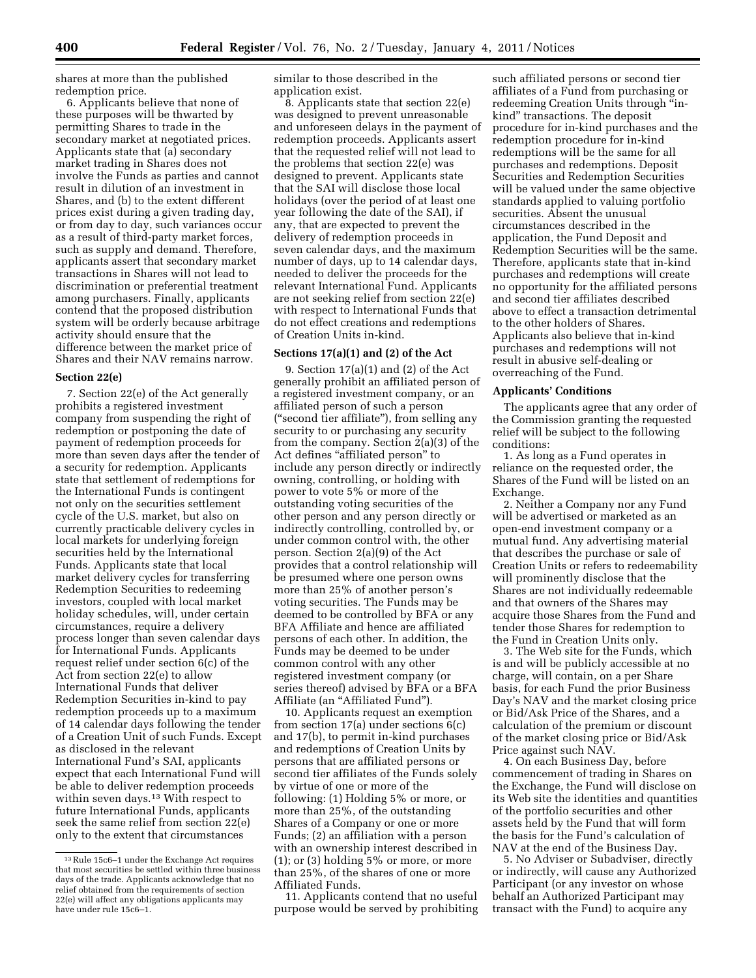shares at more than the published redemption price.

6. Applicants believe that none of these purposes will be thwarted by permitting Shares to trade in the secondary market at negotiated prices. Applicants state that (a) secondary market trading in Shares does not involve the Funds as parties and cannot result in dilution of an investment in Shares, and (b) to the extent different prices exist during a given trading day, or from day to day, such variances occur as a result of third-party market forces, such as supply and demand. Therefore, applicants assert that secondary market transactions in Shares will not lead to discrimination or preferential treatment among purchasers. Finally, applicants contend that the proposed distribution system will be orderly because arbitrage activity should ensure that the difference between the market price of Shares and their NAV remains narrow.

## **Section 22(e)**

7. Section 22(e) of the Act generally prohibits a registered investment company from suspending the right of redemption or postponing the date of payment of redemption proceeds for more than seven days after the tender of a security for redemption. Applicants state that settlement of redemptions for the International Funds is contingent not only on the securities settlement cycle of the U.S. market, but also on currently practicable delivery cycles in local markets for underlying foreign securities held by the International Funds. Applicants state that local market delivery cycles for transferring Redemption Securities to redeeming investors, coupled with local market holiday schedules, will, under certain circumstances, require a delivery process longer than seven calendar days for International Funds. Applicants request relief under section 6(c) of the Act from section 22(e) to allow International Funds that deliver Redemption Securities in-kind to pay redemption proceeds up to a maximum of 14 calendar days following the tender of a Creation Unit of such Funds. Except as disclosed in the relevant International Fund's SAI, applicants expect that each International Fund will be able to deliver redemption proceeds within seven days.<sup>13</sup> With respect to future International Funds, applicants seek the same relief from section 22(e) only to the extent that circumstances

similar to those described in the application exist.

8. Applicants state that section 22(e) was designed to prevent unreasonable and unforeseen delays in the payment of redemption proceeds. Applicants assert that the requested relief will not lead to the problems that section 22(e) was designed to prevent. Applicants state that the SAI will disclose those local holidays (over the period of at least one year following the date of the SAI), if any, that are expected to prevent the delivery of redemption proceeds in seven calendar days, and the maximum number of days, up to 14 calendar days, needed to deliver the proceeds for the relevant International Fund. Applicants are not seeking relief from section 22(e) with respect to International Funds that do not effect creations and redemptions of Creation Units in-kind.

### **Sections 17(a)(1) and (2) of the Act**

9. Section 17(a)(1) and (2) of the Act generally prohibit an affiliated person of a registered investment company, or an affiliated person of such a person (''second tier affiliate''), from selling any security to or purchasing any security from the company. Section 2(a)(3) of the Act defines "affiliated person" to include any person directly or indirectly owning, controlling, or holding with power to vote 5% or more of the outstanding voting securities of the other person and any person directly or indirectly controlling, controlled by, or under common control with, the other person. Section 2(a)(9) of the Act provides that a control relationship will be presumed where one person owns more than 25% of another person's voting securities. The Funds may be deemed to be controlled by BFA or any BFA Affiliate and hence are affiliated persons of each other. In addition, the Funds may be deemed to be under common control with any other registered investment company (or series thereof) advised by BFA or a BFA Affiliate (an "Affiliated Fund").

10. Applicants request an exemption from section 17(a) under sections 6(c) and 17(b), to permit in-kind purchases and redemptions of Creation Units by persons that are affiliated persons or second tier affiliates of the Funds solely by virtue of one or more of the following: (1) Holding 5% or more, or more than 25%, of the outstanding Shares of a Company or one or more Funds; (2) an affiliation with a person with an ownership interest described in (1); or (3) holding 5% or more, or more than 25%, of the shares of one or more Affiliated Funds.

11. Applicants contend that no useful purpose would be served by prohibiting

such affiliated persons or second tier affiliates of a Fund from purchasing or redeeming Creation Units through ''inkind'' transactions. The deposit procedure for in-kind purchases and the redemption procedure for in-kind redemptions will be the same for all purchases and redemptions. Deposit Securities and Redemption Securities will be valued under the same objective standards applied to valuing portfolio securities. Absent the unusual circumstances described in the application, the Fund Deposit and Redemption Securities will be the same. Therefore, applicants state that in-kind purchases and redemptions will create no opportunity for the affiliated persons and second tier affiliates described above to effect a transaction detrimental to the other holders of Shares. Applicants also believe that in-kind purchases and redemptions will not result in abusive self-dealing or overreaching of the Fund.

#### **Applicants' Conditions**

The applicants agree that any order of the Commission granting the requested relief will be subject to the following conditions:

1. As long as a Fund operates in reliance on the requested order, the Shares of the Fund will be listed on an Exchange.

2. Neither a Company nor any Fund will be advertised or marketed as an open-end investment company or a mutual fund. Any advertising material that describes the purchase or sale of Creation Units or refers to redeemability will prominently disclose that the Shares are not individually redeemable and that owners of the Shares may acquire those Shares from the Fund and tender those Shares for redemption to the Fund in Creation Units only.

3. The Web site for the Funds, which is and will be publicly accessible at no charge, will contain, on a per Share basis, for each Fund the prior Business Day's NAV and the market closing price or Bid/Ask Price of the Shares, and a calculation of the premium or discount of the market closing price or Bid/Ask Price against such NAV.

4. On each Business Day, before commencement of trading in Shares on the Exchange, the Fund will disclose on its Web site the identities and quantities of the portfolio securities and other assets held by the Fund that will form the basis for the Fund's calculation of NAV at the end of the Business Day.

5. No Adviser or Subadviser, directly or indirectly, will cause any Authorized Participant (or any investor on whose behalf an Authorized Participant may transact with the Fund) to acquire any

<sup>13</sup>Rule 15c6–1 under the Exchange Act requires that most securities be settled within three business days of the trade. Applicants acknowledge that no relief obtained from the requirements of section 22(e) will affect any obligations applicants may have under rule 15c6–1.